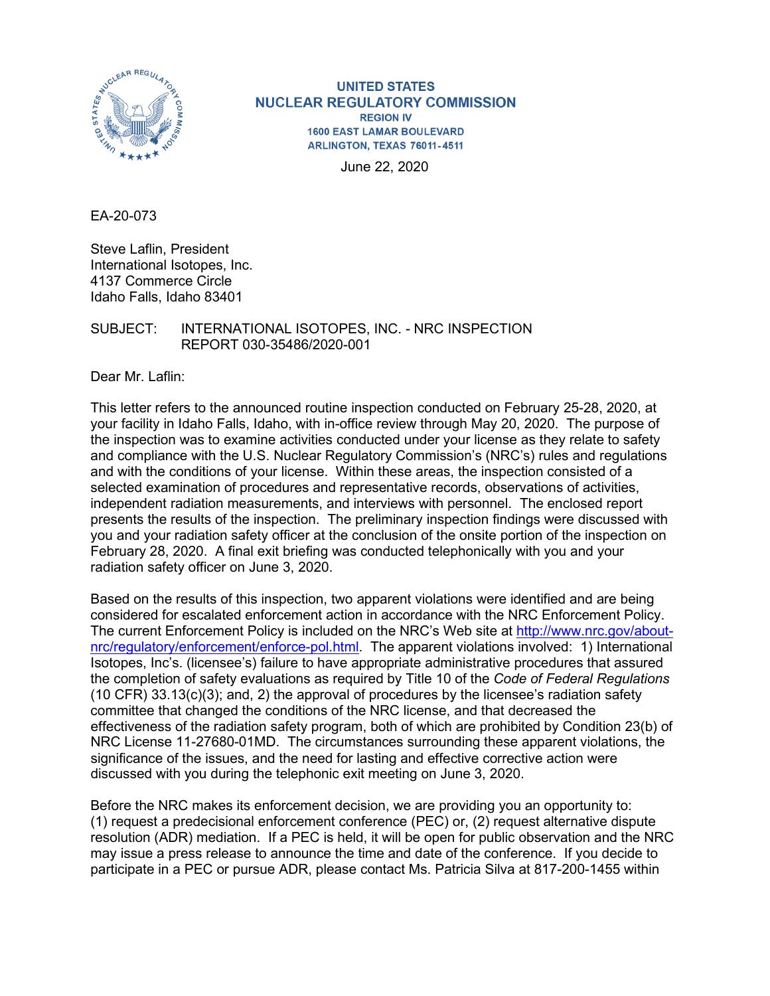

**UNITED STATES NUCLEAR REGULATORY COMMISSION REGION IV 1600 EAST LAMAR BOULEVARD** ARLINGTON, TEXAS 76011-4511

June 22, 2020

EA-20-073

Steve Laflin, President International Isotopes, Inc. 4137 Commerce Circle Idaho Falls, Idaho 83401

SUBJECT: INTERNATIONAL ISOTOPES, INC. - NRC INSPECTION REPORT 030-35486/2020-001

Dear Mr. Laflin:

This letter refers to the announced routine inspection conducted on February 25-28, 2020, at your facility in Idaho Falls, Idaho, with in-office review through May 20, 2020. The purpose of the inspection was to examine activities conducted under your license as they relate to safety and compliance with the U.S. Nuclear Regulatory Commission's (NRC's) rules and regulations and with the conditions of your license. Within these areas, the inspection consisted of a selected examination of procedures and representative records, observations of activities, independent radiation measurements, and interviews with personnel. The enclosed report presents the results of the inspection. The preliminary inspection findings were discussed with you and your radiation safety officer at the conclusion of the onsite portion of the inspection on February 28, 2020. A final exit briefing was conducted telephonically with you and your radiation safety officer on June 3, 2020.

Based on the results of this inspection, two apparent violations were identified and are being considered for escalated enforcement action in accordance with the NRC Enforcement Policy. The current Enforcement Policy is included on the NRC's Web site at [http://www.nrc.gov/about](http://www.nrc.gov/about-nrc/regulatory/enforcement/enforce-pol.html)[nrc/regulatory/enforcement/enforce-pol.html.](http://www.nrc.gov/about-nrc/regulatory/enforcement/enforce-pol.html) The apparent violations involved: 1) International Isotopes, Inc's. (licensee's) failure to have appropriate administrative procedures that assured the completion of safety evaluations as required by Title 10 of the *Code of Federal Regulations* (10 CFR) 33.13(c)(3); and, 2) the approval of procedures by the licensee's radiation safety committee that changed the conditions of the NRC license, and that decreased the effectiveness of the radiation safety program, both of which are prohibited by Condition 23(b) of NRC License 11-27680-01MD. The circumstances surrounding these apparent violations, the significance of the issues, and the need for lasting and effective corrective action were discussed with you during the telephonic exit meeting on June 3, 2020.

Before the NRC makes its enforcement decision, we are providing you an opportunity to: (1) request a predecisional enforcement conference (PEC) or, (2) request alternative dispute resolution (ADR) mediation. If a PEC is held, it will be open for public observation and the NRC may issue a press release to announce the time and date of the conference. If you decide to participate in a PEC or pursue ADR, please contact Ms. Patricia Silva at 817-200-1455 within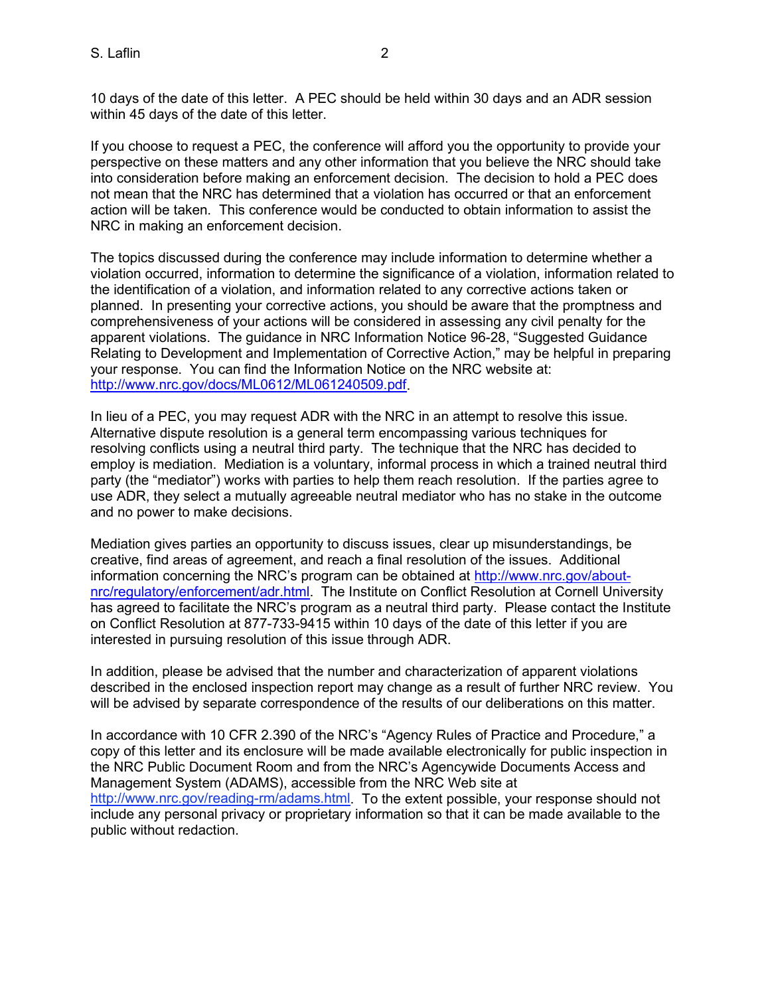10 days of the date of this letter. A PEC should be held within 30 days and an ADR session within 45 days of the date of this letter.

If you choose to request a PEC, the conference will afford you the opportunity to provide your perspective on these matters and any other information that you believe the NRC should take into consideration before making an enforcement decision. The decision to hold a PEC does not mean that the NRC has determined that a violation has occurred or that an enforcement action will be taken. This conference would be conducted to obtain information to assist the NRC in making an enforcement decision.

The topics discussed during the conference may include information to determine whether a violation occurred, information to determine the significance of a violation, information related to the identification of a violation, and information related to any corrective actions taken or planned. In presenting your corrective actions, you should be aware that the promptness and comprehensiveness of your actions will be considered in assessing any civil penalty for the apparent violations. The guidance in NRC Information Notice 96-28, "Suggested Guidance Relating to Development and Implementation of Corrective Action," may be helpful in preparing your response. You can find the Information Notice on the NRC website at: [http://www.nrc.gov/docs/ML0612/ML061240509.pdf.](http://www.nrc.gov/docs/ML0612/ML061240509.pdf)

In lieu of a PEC, you may request ADR with the NRC in an attempt to resolve this issue. Alternative dispute resolution is a general term encompassing various techniques for resolving conflicts using a neutral third party. The technique that the NRC has decided to employ is mediation. Mediation is a voluntary, informal process in which a trained neutral third party (the "mediator") works with parties to help them reach resolution. If the parties agree to use ADR, they select a mutually agreeable neutral mediator who has no stake in the outcome and no power to make decisions.

Mediation gives parties an opportunity to discuss issues, clear up misunderstandings, be creative, find areas of agreement, and reach a final resolution of the issues. Additional information concerning the NRC's program can be obtained at [http://www.nrc.gov/about](http://www.nrc.gov/about-nrc/regulatory/enforcement/adr.html)[nrc/regulatory/enforcement/adr.html.](http://www.nrc.gov/about-nrc/regulatory/enforcement/adr.html) The Institute on Conflict Resolution at Cornell University has agreed to facilitate the NRC's program as a neutral third party. Please contact the Institute on Conflict Resolution at 877-733-9415 within 10 days of the date of this letter if you are interested in pursuing resolution of this issue through ADR.

In addition, please be advised that the number and characterization of apparent violations described in the enclosed inspection report may change as a result of further NRC review. You will be advised by separate correspondence of the results of our deliberations on this matter.

In accordance with 10 CFR 2.390 of the NRC's "Agency Rules of Practice and Procedure," a copy of this letter and its enclosure will be made available electronically for public inspection in the NRC Public Document Room and from the NRC's Agencywide Documents Access and Management System (ADAMS), accessible from the NRC Web site at [http://www.nrc.gov/reading-rm/adams.html.](http://www.nrc.gov/reading-rm/adams.html) To the extent possible, your response should not include any personal privacy or proprietary information so that it can be made available to the public without redaction.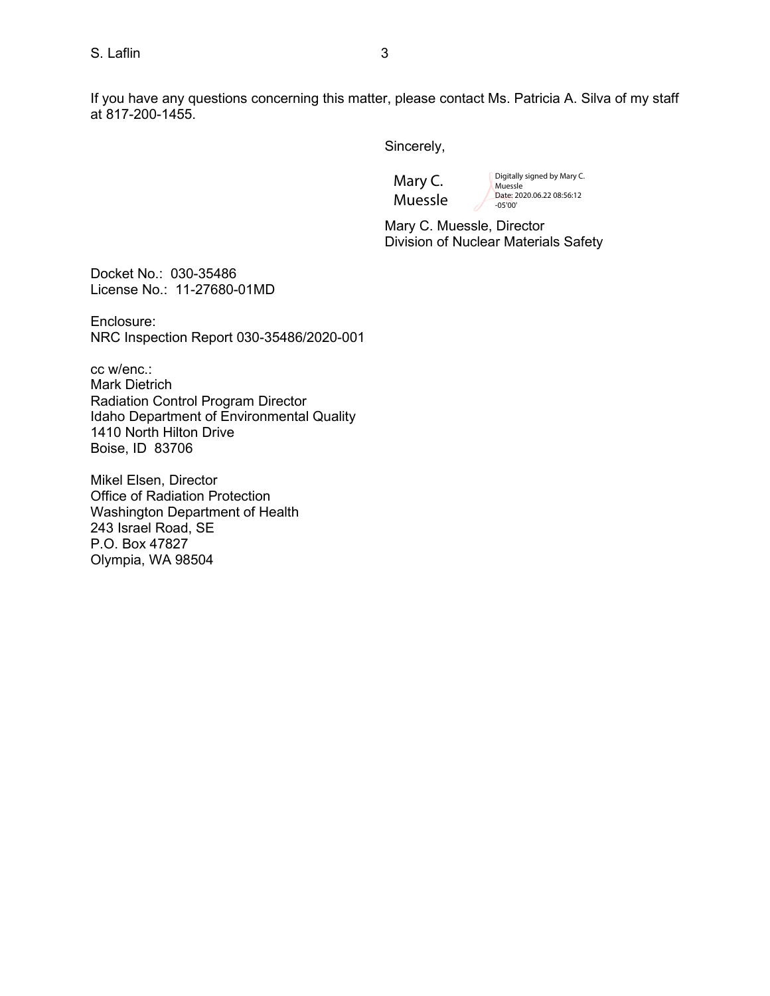If you have any questions concerning this matter, please contact Ms. Patricia A. Silva of my staff at 817-200-1455.

Sincerely,

Mary C. Muessle Digitally signed by Mary C. Muessle Date: 2020.06.22 08:56:12 -05'00'

Mary C. Muessle, Director Division of Nuclear Materials Safety

Docket No.: 030-35486 License No.: 11-27680-01MD

Enclosure: NRC Inspection Report 030-35486/2020-001

cc w/enc.:

Mark Dietrich Radiation Control Program Director Idaho Department of Environmental Quality 1410 North Hilton Drive Boise, ID 83706

Mikel Elsen, Director Office of Radiation Protection Washington Department of Health 243 Israel Road, SE P.O. Box 47827 Olympia, WA 98504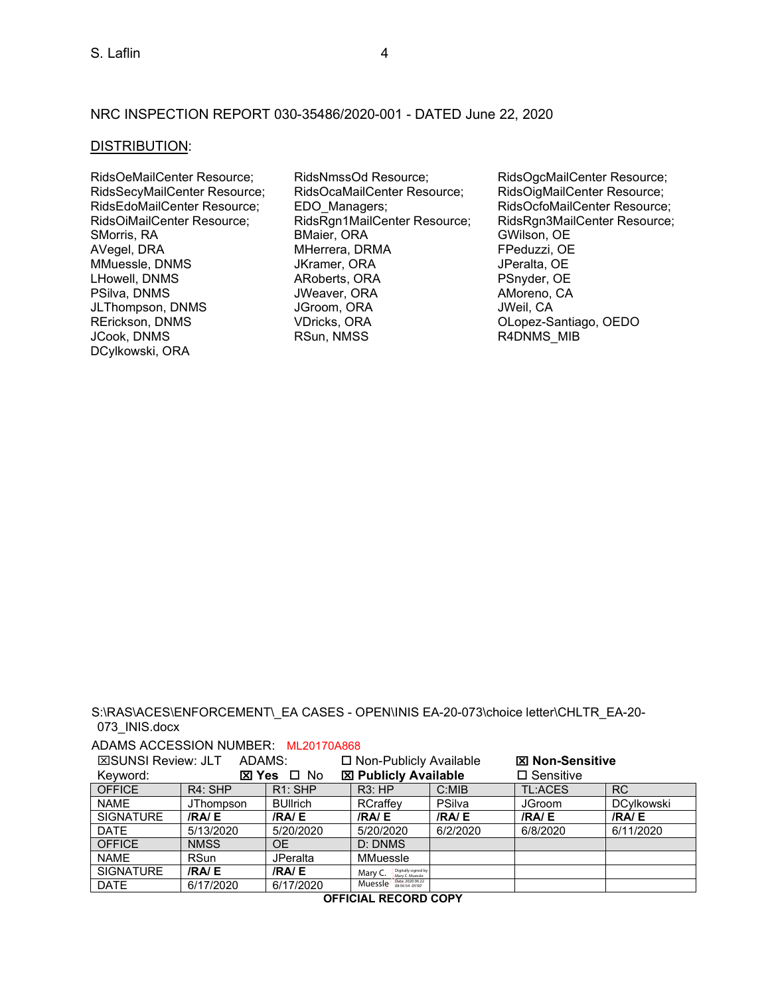#### NRC INSPECTION REPORT 030-35486/2020-001 - DATED June 22, 2020

#### DISTRIBUTION:

MMuessle, DNMS<br>LHowell, DNMS JLThompson, DNMS DCylkowski, ORA

RidsOeMailCenter Resource; RidsNmssOd Resource; RidsOgcMailCenter Resource; RidsSecyMailCenter Resource; RidsOcaMailCenter Resource; RidsOigMailCenter Resource;<br>RidsEdoMailCenter Resource; EDO\_Managers; RidsOcfoMailCenter Resource RidsEdoMailCenter Resource; EDO\_Managers; RidsOcfoMailCenter Resource; RidsOcfoMailCenter Resource; RidsOcfoMailCenter Resource; RidsRgn1MailCenter Resource; RidsRgn1MailCenter Resource; RidsRgn1MailCenter Resource; RidsRg RidsRgn1MailCenter Resource; SMorris, RA BMaier, ORA GWilson, OE MHerrera, DRMA FPeduzzi, OE<br>
JKramer, ORA JPeralta, OE LHowell, DNMS ARoberts, ORA PSnyder, OE JWeaver, ORA AMoreno, AMoreno, CRA AMORENO, PORA AMORENO, CA RErickson, DNMS VDricks, ORA OLopez-Santiago, OEDO

R4DNMS MIB

S:\RAS\ACES\ENFORCEMENT\\_EA CASES - OPEN\INIS EA-20-073\choice letter\CHLTR\_EA-20- 073\_INIS.docx

#### ADAMS ACCESSION NUMBER: ML20170A868

| <b>⊠SUNSI Review: JLT</b><br>ADAMS: |                  |                 | □ Non-Publicly Available                          |          | <b>図 Non-Sensitive</b> |                   |
|-------------------------------------|------------------|-----------------|---------------------------------------------------|----------|------------------------|-------------------|
| ⊠ Yes<br>Keyword:                   |                  | □ No            | <b>図 Publicly Available</b>                       |          | $\square$ Sensitive    |                   |
| <b>OFFICE</b>                       | $R4:$ SHP        | $R1:$ SHP       | R3:HP                                             | C:MB     | TL:ACES                | <b>RC</b>         |
| <b>NAME</b>                         | <b>JThompson</b> | <b>BUllrich</b> | RCraffev                                          | PSilva   | <b>JGroom</b>          | <b>DCvlkowski</b> |
| <b>SIGNATURE</b>                    | /RA/E            | /RA/E           | /RA/E                                             | /RA/E    | /RA/E                  | <b>/RA/E</b>      |
| <b>DATE</b>                         | 5/13/2020        | 5/20/2020       | 5/20/2020                                         | 6/2/2020 | 6/8/2020               | 6/11/2020         |
| <b>OFFICE</b>                       | <b>NMSS</b>      | OΕ              | D: DNMS                                           |          |                        |                   |
| <b>NAME</b>                         | <b>RSun</b>      | <b>JPeralta</b> | MMuessle                                          |          |                        |                   |
| <b>SIGNATURE</b>                    | /RA/E            | <b>/RA/E</b>    | Digitally signed by<br>Mary C. Muessle<br>Mary C. |          |                        |                   |
| <b>DATE</b>                         | 6/17/2020        | 6/17/2020       | Date: 2020.06.22<br>Muessle<br>08:56:54 -05'00"   |          |                        |                   |

**OFFICIAL RECORD COPY**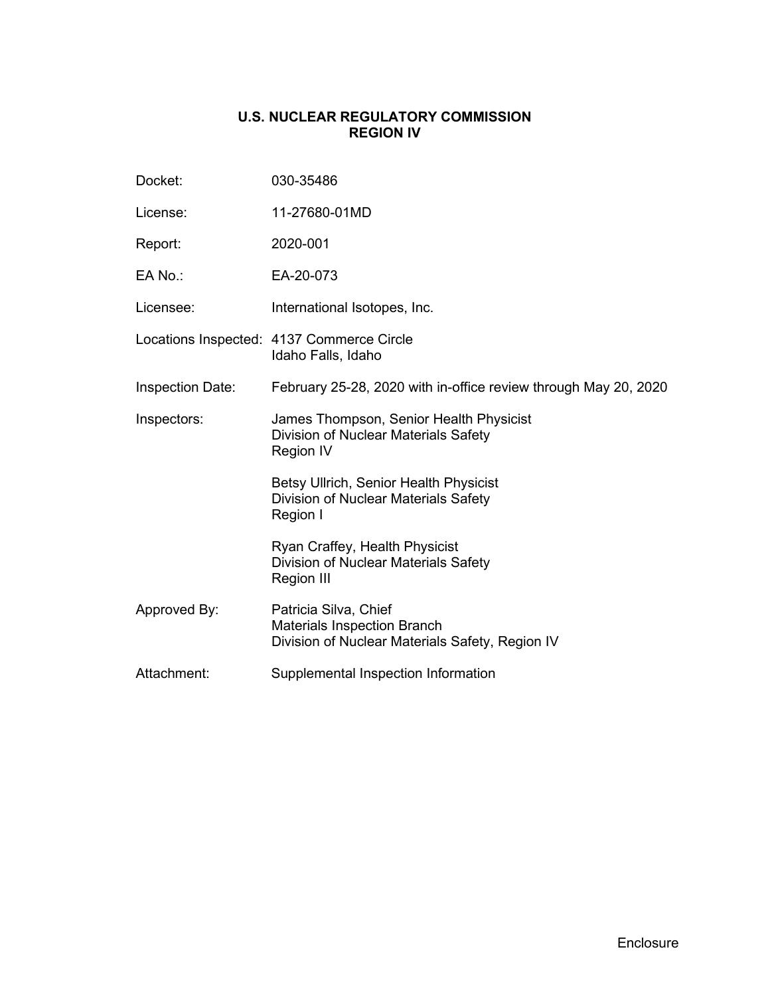## **U.S. NUCLEAR REGULATORY COMMISSION REGION IV**

| Docket:                 | 030-35486                                                                                                      |
|-------------------------|----------------------------------------------------------------------------------------------------------------|
| License:                | 11-27680-01MD                                                                                                  |
| Report:                 | 2020-001                                                                                                       |
| EA No.:                 | EA-20-073                                                                                                      |
| Licensee:               | International Isotopes, Inc.                                                                                   |
|                         | Locations Inspected: 4137 Commerce Circle<br>Idaho Falls, Idaho                                                |
| <b>Inspection Date:</b> | February 25-28, 2020 with in-office review through May 20, 2020                                                |
| Inspectors:             | James Thompson, Senior Health Physicist<br>Division of Nuclear Materials Safety<br><b>Region IV</b>            |
|                         | Betsy Ullrich, Senior Health Physicist<br>Division of Nuclear Materials Safety<br>Region I                     |
|                         | Ryan Craffey, Health Physicist<br>Division of Nuclear Materials Safety<br>Region III                           |
| Approved By:            | Patricia Silva, Chief<br><b>Materials Inspection Branch</b><br>Division of Nuclear Materials Safety, Region IV |
| Attachment:             | Supplemental Inspection Information                                                                            |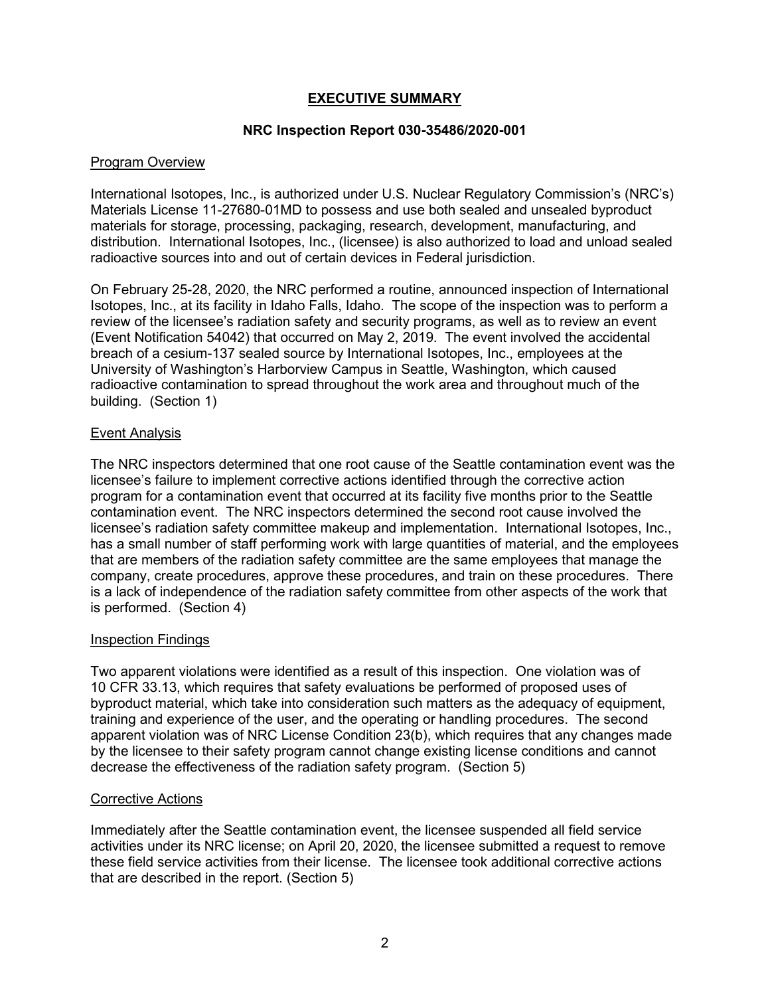## **EXECUTIVE SUMMARY**

## **NRC Inspection Report 030-35486/2020-001**

## Program Overview

International Isotopes, Inc., is authorized under U.S. Nuclear Regulatory Commission's (NRC's) Materials License 11-27680-01MD to possess and use both sealed and unsealed byproduct materials for storage, processing, packaging, research, development, manufacturing, and distribution. International Isotopes, Inc., (licensee) is also authorized to load and unload sealed radioactive sources into and out of certain devices in Federal jurisdiction.

On February 25-28, 2020, the NRC performed a routine, announced inspection of International Isotopes, Inc., at its facility in Idaho Falls, Idaho. The scope of the inspection was to perform a review of the licensee's radiation safety and security programs, as well as to review an event (Event Notification 54042) that occurred on May 2, 2019. The event involved the accidental breach of a cesium-137 sealed source by International Isotopes, Inc., employees at the University of Washington's Harborview Campus in Seattle, Washington, which caused radioactive contamination to spread throughout the work area and throughout much of the building. (Section 1)

## Event Analysis

The NRC inspectors determined that one root cause of the Seattle contamination event was the licensee's failure to implement corrective actions identified through the corrective action program for a contamination event that occurred at its facility five months prior to the Seattle contamination event. The NRC inspectors determined the second root cause involved the licensee's radiation safety committee makeup and implementation. International Isotopes, Inc., has a small number of staff performing work with large quantities of material, and the employees that are members of the radiation safety committee are the same employees that manage the company, create procedures, approve these procedures, and train on these procedures. There is a lack of independence of the radiation safety committee from other aspects of the work that is performed. (Section 4)

#### Inspection Findings

Two apparent violations were identified as a result of this inspection. One violation was of 10 CFR 33.13, which requires that safety evaluations be performed of proposed uses of byproduct material, which take into consideration such matters as the adequacy of equipment, training and experience of the user, and the operating or handling procedures. The second apparent violation was of NRC License Condition 23(b), which requires that any changes made by the licensee to their safety program cannot change existing license conditions and cannot decrease the effectiveness of the radiation safety program. (Section 5)

#### Corrective Actions

Immediately after the Seattle contamination event, the licensee suspended all field service activities under its NRC license; on April 20, 2020, the licensee submitted a request to remove these field service activities from their license. The licensee took additional corrective actions that are described in the report. (Section 5)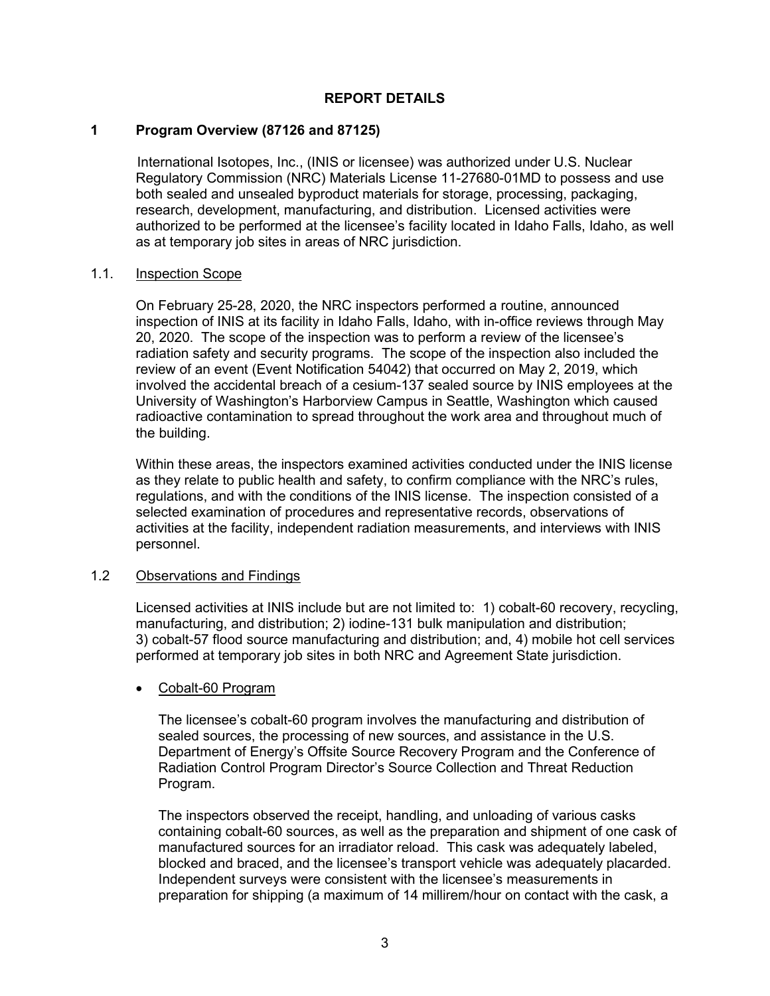## **REPORT DETAILS**

## **1 Program Overview (87126 and 87125)**

International Isotopes, Inc., (INIS or licensee) was authorized under U.S. Nuclear Regulatory Commission (NRC) Materials License 11-27680-01MD to possess and use both sealed and unsealed byproduct materials for storage, processing, packaging, research, development, manufacturing, and distribution. Licensed activities were authorized to be performed at the licensee's facility located in Idaho Falls, Idaho, as well as at temporary job sites in areas of NRC jurisdiction.

#### 1.1. Inspection Scope

On February 25-28, 2020, the NRC inspectors performed a routine, announced inspection of INIS at its facility in Idaho Falls, Idaho, with in-office reviews through May 20, 2020. The scope of the inspection was to perform a review of the licensee's radiation safety and security programs. The scope of the inspection also included the review of an event (Event Notification 54042) that occurred on May 2, 2019, which involved the accidental breach of a cesium-137 sealed source by INIS employees at the University of Washington's Harborview Campus in Seattle, Washington which caused radioactive contamination to spread throughout the work area and throughout much of the building.

Within these areas, the inspectors examined activities conducted under the INIS license as they relate to public health and safety, to confirm compliance with the NRC's rules, regulations, and with the conditions of the INIS license. The inspection consisted of a selected examination of procedures and representative records, observations of activities at the facility, independent radiation measurements, and interviews with INIS personnel.

## 1.2 Observations and Findings

Licensed activities at INIS include but are not limited to: 1) cobalt-60 recovery, recycling, manufacturing, and distribution; 2) iodine-131 bulk manipulation and distribution; 3) cobalt-57 flood source manufacturing and distribution; and, 4) mobile hot cell services performed at temporary job sites in both NRC and Agreement State jurisdiction.

#### • Cobalt-60 Program

The licensee's cobalt-60 program involves the manufacturing and distribution of sealed sources, the processing of new sources, and assistance in the U.S. Department of Energy's Offsite Source Recovery Program and the Conference of Radiation Control Program Director's Source Collection and Threat Reduction Program.

The inspectors observed the receipt, handling, and unloading of various casks containing cobalt-60 sources, as well as the preparation and shipment of one cask of manufactured sources for an irradiator reload. This cask was adequately labeled, blocked and braced, and the licensee's transport vehicle was adequately placarded. Independent surveys were consistent with the licensee's measurements in preparation for shipping (a maximum of 14 millirem/hour on contact with the cask, a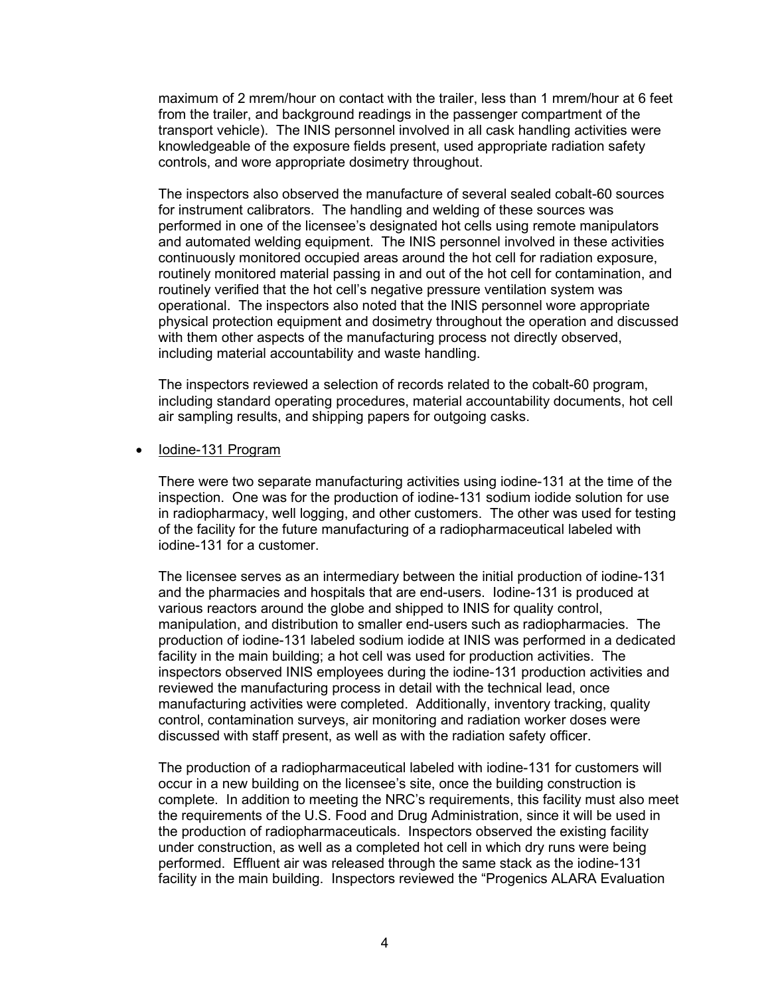maximum of 2 mrem/hour on contact with the trailer, less than 1 mrem/hour at 6 feet from the trailer, and background readings in the passenger compartment of the transport vehicle). The INIS personnel involved in all cask handling activities were knowledgeable of the exposure fields present, used appropriate radiation safety controls, and wore appropriate dosimetry throughout.

The inspectors also observed the manufacture of several sealed cobalt-60 sources for instrument calibrators. The handling and welding of these sources was performed in one of the licensee's designated hot cells using remote manipulators and automated welding equipment. The INIS personnel involved in these activities continuously monitored occupied areas around the hot cell for radiation exposure, routinely monitored material passing in and out of the hot cell for contamination, and routinely verified that the hot cell's negative pressure ventilation system was operational. The inspectors also noted that the INIS personnel wore appropriate physical protection equipment and dosimetry throughout the operation and discussed with them other aspects of the manufacturing process not directly observed, including material accountability and waste handling.

The inspectors reviewed a selection of records related to the cobalt-60 program, including standard operating procedures, material accountability documents, hot cell air sampling results, and shipping papers for outgoing casks.

#### • Iodine-131 Program

There were two separate manufacturing activities using iodine-131 at the time of the inspection. One was for the production of iodine-131 sodium iodide solution for use in radiopharmacy, well logging, and other customers. The other was used for testing of the facility for the future manufacturing of a radiopharmaceutical labeled with iodine-131 for a customer.

The licensee serves as an intermediary between the initial production of iodine-131 and the pharmacies and hospitals that are end-users. Iodine-131 is produced at various reactors around the globe and shipped to INIS for quality control, manipulation, and distribution to smaller end-users such as radiopharmacies. The production of iodine-131 labeled sodium iodide at INIS was performed in a dedicated facility in the main building; a hot cell was used for production activities. The inspectors observed INIS employees during the iodine-131 production activities and reviewed the manufacturing process in detail with the technical lead, once manufacturing activities were completed. Additionally, inventory tracking, quality control, contamination surveys, air monitoring and radiation worker doses were discussed with staff present, as well as with the radiation safety officer.

The production of a radiopharmaceutical labeled with iodine-131 for customers will occur in a new building on the licensee's site, once the building construction is complete. In addition to meeting the NRC's requirements, this facility must also meet the requirements of the U.S. Food and Drug Administration, since it will be used in the production of radiopharmaceuticals. Inspectors observed the existing facility under construction, as well as a completed hot cell in which dry runs were being performed. Effluent air was released through the same stack as the iodine-131 facility in the main building. Inspectors reviewed the "Progenics ALARA Evaluation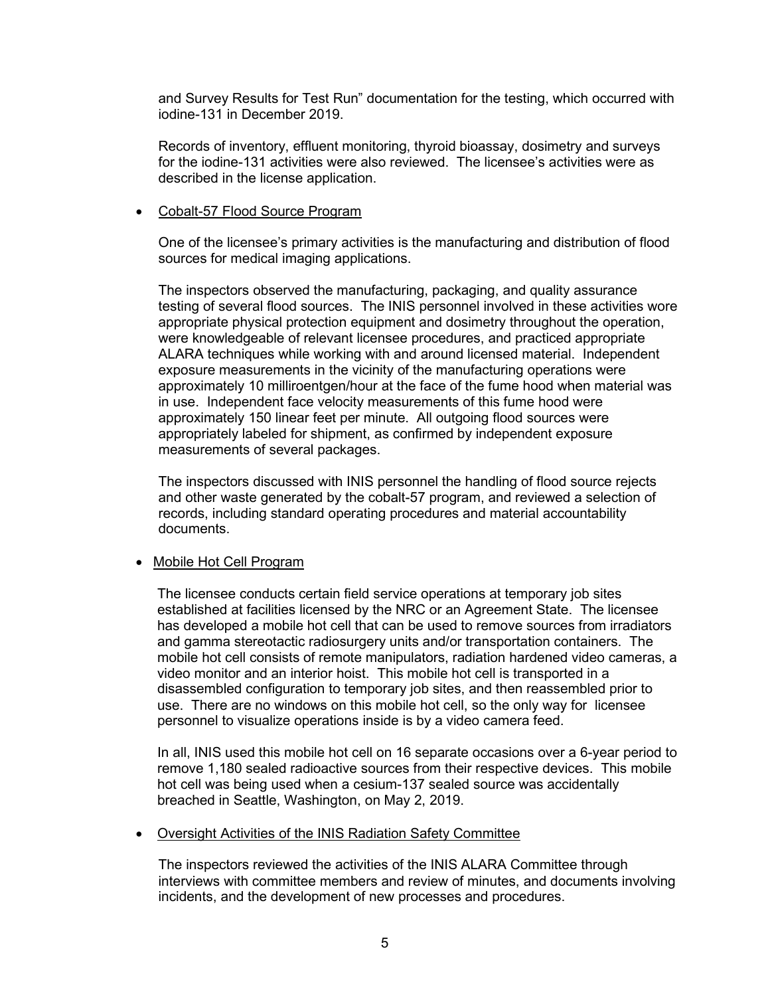and Survey Results for Test Run" documentation for the testing, which occurred with iodine-131 in December 2019.

Records of inventory, effluent monitoring, thyroid bioassay, dosimetry and surveys for the iodine-131 activities were also reviewed. The licensee's activities were as described in the license application.

#### • Cobalt-57 Flood Source Program

One of the licensee's primary activities is the manufacturing and distribution of flood sources for medical imaging applications.

The inspectors observed the manufacturing, packaging, and quality assurance testing of several flood sources. The INIS personnel involved in these activities wore appropriate physical protection equipment and dosimetry throughout the operation, were knowledgeable of relevant licensee procedures, and practiced appropriate ALARA techniques while working with and around licensed material. Independent exposure measurements in the vicinity of the manufacturing operations were approximately 10 milliroentgen/hour at the face of the fume hood when material was in use. Independent face velocity measurements of this fume hood were approximately 150 linear feet per minute. All outgoing flood sources were appropriately labeled for shipment, as confirmed by independent exposure measurements of several packages.

The inspectors discussed with INIS personnel the handling of flood source rejects and other waste generated by the cobalt-57 program, and reviewed a selection of records, including standard operating procedures and material accountability documents.

#### • Mobile Hot Cell Program

The licensee conducts certain field service operations at temporary job sites established at facilities licensed by the NRC or an Agreement State. The licensee has developed a mobile hot cell that can be used to remove sources from irradiators and gamma stereotactic radiosurgery units and/or transportation containers. The mobile hot cell consists of remote manipulators, radiation hardened video cameras, a video monitor and an interior hoist. This mobile hot cell is transported in a disassembled configuration to temporary job sites, and then reassembled prior to use. There are no windows on this mobile hot cell, so the only way for licensee personnel to visualize operations inside is by a video camera feed.

In all, INIS used this mobile hot cell on 16 separate occasions over a 6-year period to remove 1,180 sealed radioactive sources from their respective devices. This mobile hot cell was being used when a cesium-137 sealed source was accidentally breached in Seattle, Washington, on May 2, 2019.

#### • Oversight Activities of the INIS Radiation Safety Committee

The inspectors reviewed the activities of the INIS ALARA Committee through interviews with committee members and review of minutes, and documents involving incidents, and the development of new processes and procedures.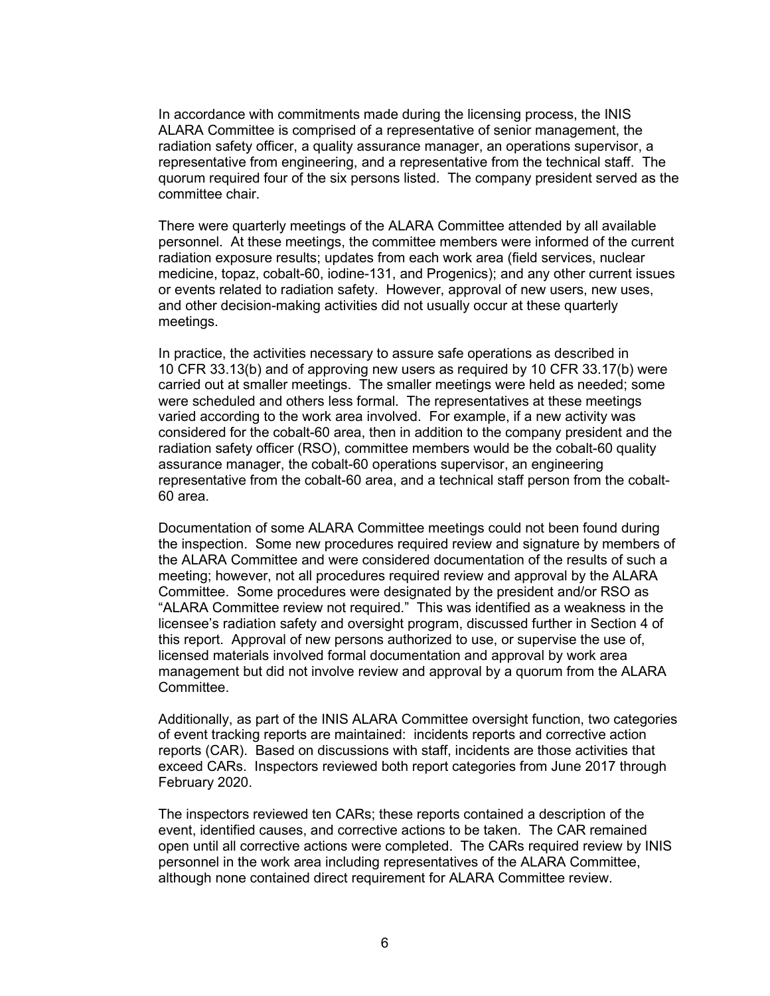In accordance with commitments made during the licensing process, the INIS ALARA Committee is comprised of a representative of senior management, the radiation safety officer, a quality assurance manager, an operations supervisor, a representative from engineering, and a representative from the technical staff. The quorum required four of the six persons listed. The company president served as the committee chair.

There were quarterly meetings of the ALARA Committee attended by all available personnel. At these meetings, the committee members were informed of the current radiation exposure results; updates from each work area (field services, nuclear medicine, topaz, cobalt-60, iodine-131, and Progenics); and any other current issues or events related to radiation safety. However, approval of new users, new uses, and other decision-making activities did not usually occur at these quarterly meetings.

In practice, the activities necessary to assure safe operations as described in 10 CFR 33.13(b) and of approving new users as required by 10 CFR 33.17(b) were carried out at smaller meetings. The smaller meetings were held as needed; some were scheduled and others less formal. The representatives at these meetings varied according to the work area involved. For example, if a new activity was considered for the cobalt-60 area, then in addition to the company president and the radiation safety officer (RSO), committee members would be the cobalt-60 quality assurance manager, the cobalt-60 operations supervisor, an engineering representative from the cobalt-60 area, and a technical staff person from the cobalt-60 area.

Documentation of some ALARA Committee meetings could not been found during the inspection. Some new procedures required review and signature by members of the ALARA Committee and were considered documentation of the results of such a meeting; however, not all procedures required review and approval by the ALARA Committee. Some procedures were designated by the president and/or RSO as "ALARA Committee review not required." This was identified as a weakness in the licensee's radiation safety and oversight program, discussed further in Section 4 of this report.Approval of new persons authorized to use, or supervise the use of, licensed materials involved formal documentation and approval by work area management but did not involve review and approval by a quorum from the ALARA Committee.

Additionally, as part of the INIS ALARA Committee oversight function, two categories of event tracking reports are maintained: incidents reports and corrective action reports (CAR). Based on discussions with staff, incidents are those activities that exceed CARs. Inspectors reviewed both report categories from June 2017 through February 2020.

The inspectors reviewed ten CARs; these reports contained a description of the event, identified causes, and corrective actions to be taken. The CAR remained open until all corrective actions were completed. The CARs required review by INIS personnel in the work area including representatives of the ALARA Committee, although none contained direct requirement for ALARA Committee review.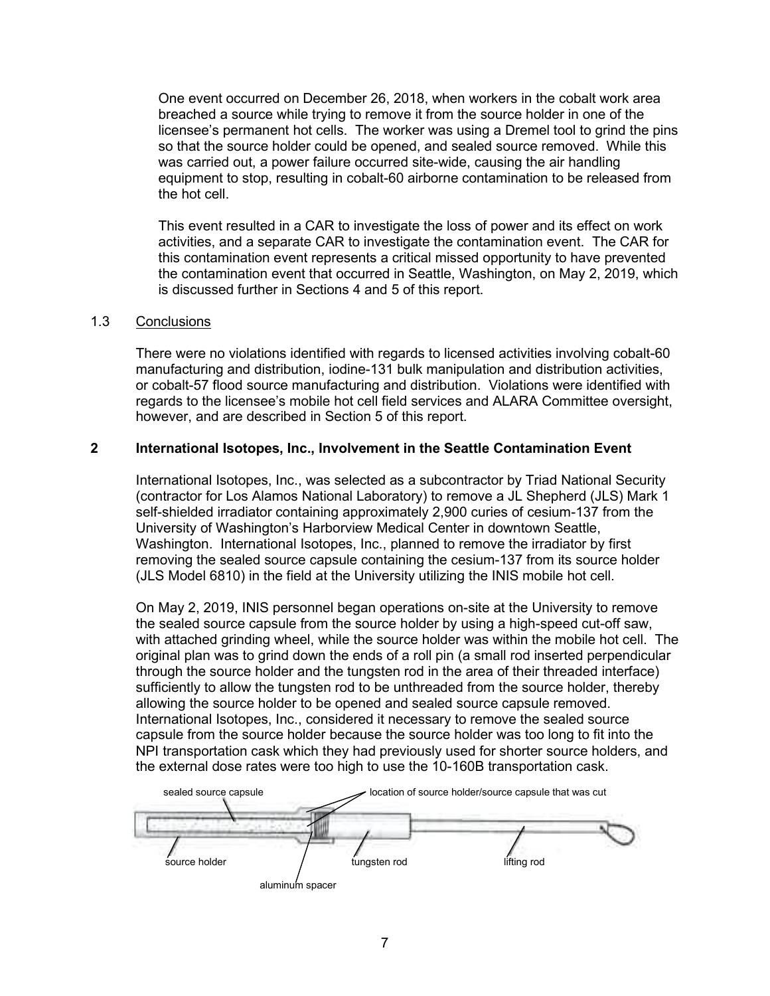One event occurred on December 26, 2018, when workers in the cobalt work area breached a source while trying to remove it from the source holder in one of the licensee's permanent hot cells. The worker was using a Dremel tool to grind the pins so that the source holder could be opened, and sealed source removed. While this was carried out, a power failure occurred site-wide, causing the air handling equipment to stop, resulting in cobalt-60 airborne contamination to be released from the hot cell.

This event resulted in a CAR to investigate the loss of power and its effect on work activities, and a separate CAR to investigate the contamination event. The CAR for this contamination event represents a critical missed opportunity to have prevented the contamination event that occurred in Seattle, Washington, on May 2, 2019, which is discussed further in Sections 4 and 5 of this report.

## 1.3 Conclusions

There were no violations identified with regards to licensed activities involving cobalt-60 manufacturing and distribution, iodine-131 bulk manipulation and distribution activities, or cobalt-57 flood source manufacturing and distribution. Violations were identified with regards to the licensee's mobile hot cell field services and ALARA Committee oversight, however, and are described in Section 5 of this report.

## **2 International Isotopes, Inc., Involvement in the Seattle Contamination Event**

International Isotopes, Inc., was selected as a subcontractor by Triad National Security (contractor for Los Alamos National Laboratory) to remove a JL Shepherd (JLS) Mark 1 self-shielded irradiator containing approximately 2,900 curies of cesium-137 from the University of Washington's Harborview Medical Center in downtown Seattle, Washington. International Isotopes, Inc., planned to remove the irradiator by first removing the sealed source capsule containing the cesium-137 from its source holder (JLS Model 6810) in the field at the University utilizing the INIS mobile hot cell.

On May 2, 2019, INIS personnel began operations on-site at the University to remove the sealed source capsule from the source holder by using a high-speed cut-off saw, with attached grinding wheel, while the source holder was within the mobile hot cell. The original plan was to grind down the ends of a roll pin (a small rod inserted perpendicular through the source holder and the tungsten rod in the area of their threaded interface) sufficiently to allow the tungsten rod to be unthreaded from the source holder, thereby allowing the source holder to be opened and sealed source capsule removed. International Isotopes, Inc., considered it necessary to remove the sealed source capsule from the source holder because the source holder was too long to fit into the NPI transportation cask which they had previously used for shorter source holders, and

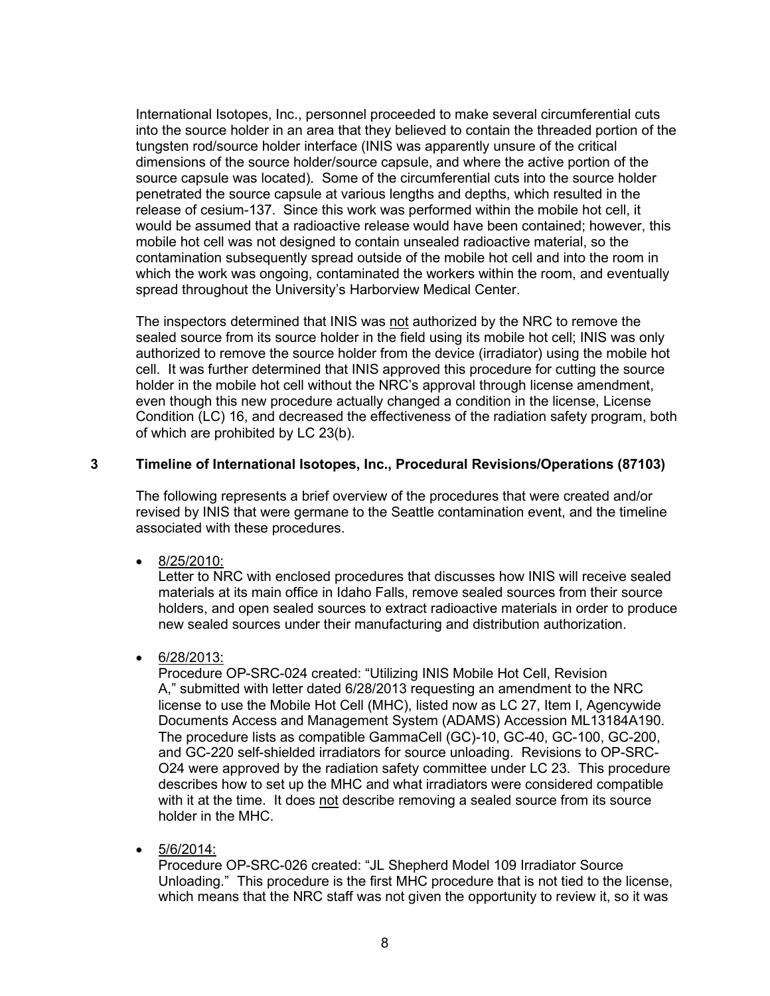International Isotopes, Inc., personnel proceeded to make several circumferential cuts into the source holder in an area that they believed to contain the threaded portion of the tungsten rod/source holder interface (INIS was apparently unsure of the critical dimensions of the source holder/source capsule, and where the active portion of the source capsule was located). Some of the circumferential cuts into the source holder penetrated the source capsule at various lengths and depths, which resulted in the release of cesium-137. Since this work was performed within the mobile hot cell, it would be assumed that a radioactive release would have been contained; however, this mobile hot cell was not designed to contain unsealed radioactive material, so the contamination subsequently spread outside of the mobile hot cell and into the room in which the work was ongoing, contaminated the workers within the room, and eventually spread throughout the University's Harborview Medical Center.

The inspectors determined that INIS was not authorized by the NRC to remove the sealed source from its source holder in the field using its mobile hot cell; INIS was only authorized to remove the source holder from the device (irradiator) using the mobile hot cell. It was further determined that INIS approved this procedure for cutting the source holder in the mobile hot cell without the NRC's approval through license amendment, even though this new procedure actually changed a condition in the license, License Condition (LC) 16, and decreased the effectiveness of the radiation safety program, both of which are prohibited by LC 23(b).

## **3 Timeline of International Isotopes, Inc., Procedural Revisions/Operations (87103)**

The following represents a brief overview of the procedures that were created and/or revised by INIS that were germane to the Seattle contamination event, and the timeline associated with these procedures.

• 8/25/2010:

Letter to NRC with enclosed procedures that discusses how INIS will receive sealed materials at its main office in Idaho Falls, remove sealed sources from their source holders, and open sealed sources to extract radioactive materials in order to produce new sealed sources under their manufacturing and distribution authorization.

• 6/28/2013:

Procedure OP-SRC-024 created: "Utilizing INIS Mobile Hot Cell, Revision A," submitted with letter dated 6/28/2013 requesting an amendment to the NRC license to use the Mobile Hot Cell (MHC), listed now as LC 27, Item I, Agencywide Documents Access and Management System (ADAMS) Accession ML13184A190. The procedure lists as compatible GammaCell (GC)-10, GC-40, GC-100, GC-200, and GC-220 self-shielded irradiators for source unloading. Revisions to OP-SRC-O24 were approved by the radiation safety committee under LC 23. This procedure describes how to set up the MHC and what irradiators were considered compatible with it at the time. It does not describe removing a sealed source from its source holder in the MHC.

• 5/6/2014:

Procedure OP-SRC-026 created: "JL Shepherd Model 109 Irradiator Source Unloading." This procedure is the first MHC procedure that is not tied to the license, which means that the NRC staff was not given the opportunity to review it, so it was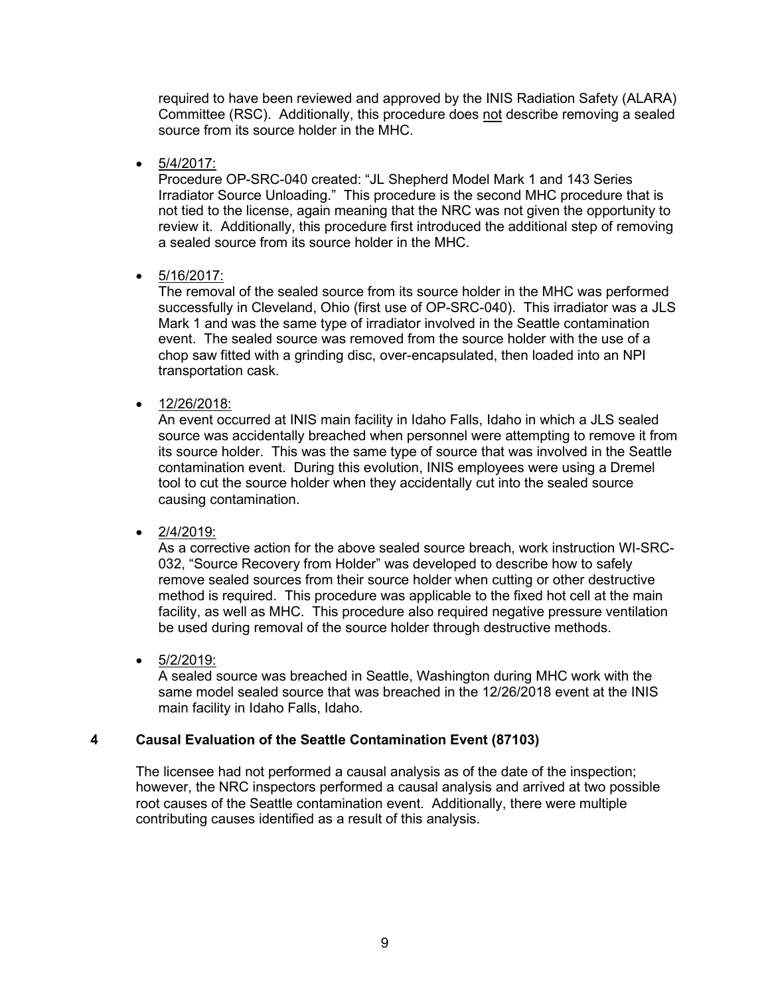required to have been reviewed and approved by the INIS Radiation Safety (ALARA) Committee (RSC). Additionally, this procedure does not describe removing a sealed source from its source holder in the MHC.

• 5/4/2017:

Procedure OP-SRC-040 created: "JL Shepherd Model Mark 1 and 143 Series Irradiator Source Unloading." This procedure is the second MHC procedure that is not tied to the license, again meaning that the NRC was not given the opportunity to review it. Additionally, this procedure first introduced the additional step of removing a sealed source from its source holder in the MHC.

• 5/16/2017:

The removal of the sealed source from its source holder in the MHC was performed successfully in Cleveland, Ohio (first use of OP-SRC-040). This irradiator was a JLS Mark 1 and was the same type of irradiator involved in the Seattle contamination event. The sealed source was removed from the source holder with the use of a chop saw fitted with a grinding disc, over-encapsulated, then loaded into an NPI transportation cask.

• 12/26/2018:

An event occurred at INIS main facility in Idaho Falls, Idaho in which a JLS sealed source was accidentally breached when personnel were attempting to remove it from its source holder. This was the same type of source that was involved in the Seattle contamination event. During this evolution, INIS employees were using a Dremel tool to cut the source holder when they accidentally cut into the sealed source causing contamination.

• 2/4/2019:

As a corrective action for the above sealed source breach, work instruction WI-SRC-032, "Source Recovery from Holder" was developed to describe how to safely remove sealed sources from their source holder when cutting or other destructive method is required. This procedure was applicable to the fixed hot cell at the main facility, as well as MHC. This procedure also required negative pressure ventilation be used during removal of the source holder through destructive methods.

 $• 5/2/2019:$ 

A sealed source was breached in Seattle, Washington during MHC work with the same model sealed source that was breached in the 12/26/2018 event at the INIS main facility in Idaho Falls, Idaho.

## **4 Causal Evaluation of the Seattle Contamination Event (87103)**

The licensee had not performed a causal analysis as of the date of the inspection; however, the NRC inspectors performed a causal analysis and arrived at two possible root causes of the Seattle contamination event. Additionally, there were multiple contributing causes identified as a result of this analysis.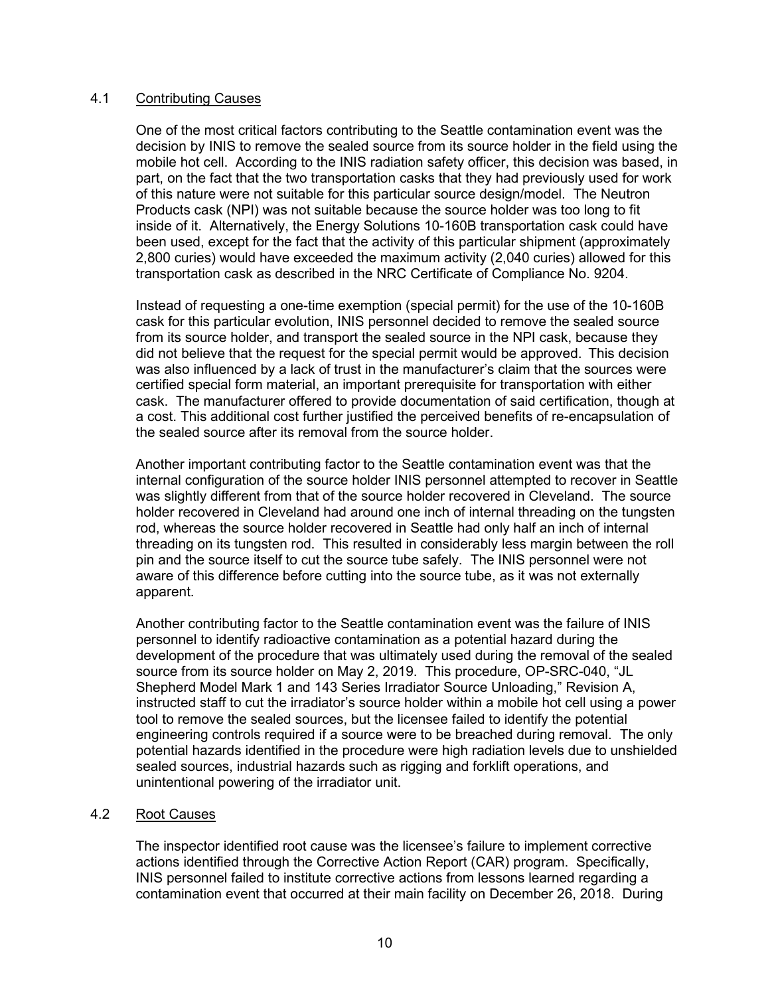## 4.1 Contributing Causes

One of the most critical factors contributing to the Seattle contamination event was the decision by INIS to remove the sealed source from its source holder in the field using the mobile hot cell. According to the INIS radiation safety officer, this decision was based, in part, on the fact that the two transportation casks that they had previously used for work of this nature were not suitable for this particular source design/model. The Neutron Products cask (NPI) was not suitable because the source holder was too long to fit inside of it. Alternatively, the Energy Solutions 10-160B transportation cask could have been used, except for the fact that the activity of this particular shipment (approximately 2,800 curies) would have exceeded the maximum activity (2,040 curies) allowed for this transportation cask as described in the NRC Certificate of Compliance No. 9204.

Instead of requesting a one-time exemption (special permit) for the use of the 10-160B cask for this particular evolution, INIS personnel decided to remove the sealed source from its source holder, and transport the sealed source in the NPI cask, because they did not believe that the request for the special permit would be approved. This decision was also influenced by a lack of trust in the manufacturer's claim that the sources were certified special form material, an important prerequisite for transportation with either cask. The manufacturer offered to provide documentation of said certification, though at a cost. This additional cost further justified the perceived benefits of re-encapsulation of the sealed source after its removal from the source holder.

Another important contributing factor to the Seattle contamination event was that the internal configuration of the source holder INIS personnel attempted to recover in Seattle was slightly different from that of the source holder recovered in Cleveland. The source holder recovered in Cleveland had around one inch of internal threading on the tungsten rod, whereas the source holder recovered in Seattle had only half an inch of internal threading on its tungsten rod. This resulted in considerably less margin between the roll pin and the source itself to cut the source tube safely. The INIS personnel were not aware of this difference before cutting into the source tube, as it was not externally apparent.

Another contributing factor to the Seattle contamination event was the failure of INIS personnel to identify radioactive contamination as a potential hazard during the development of the procedure that was ultimately used during the removal of the sealed source from its source holder on May 2, 2019. This procedure, OP-SRC-040, "JL Shepherd Model Mark 1 and 143 Series Irradiator Source Unloading," Revision A, instructed staff to cut the irradiator's source holder within a mobile hot cell using a power tool to remove the sealed sources, but the licensee failed to identify the potential engineering controls required if a source were to be breached during removal. The only potential hazards identified in the procedure were high radiation levels due to unshielded sealed sources, industrial hazards such as rigging and forklift operations, and unintentional powering of the irradiator unit.

## 4.2 Root Causes

The inspector identified root cause was the licensee's failure to implement corrective actions identified through the Corrective Action Report (CAR) program. Specifically, INIS personnel failed to institute corrective actions from lessons learned regarding a contamination event that occurred at their main facility on December 26, 2018. During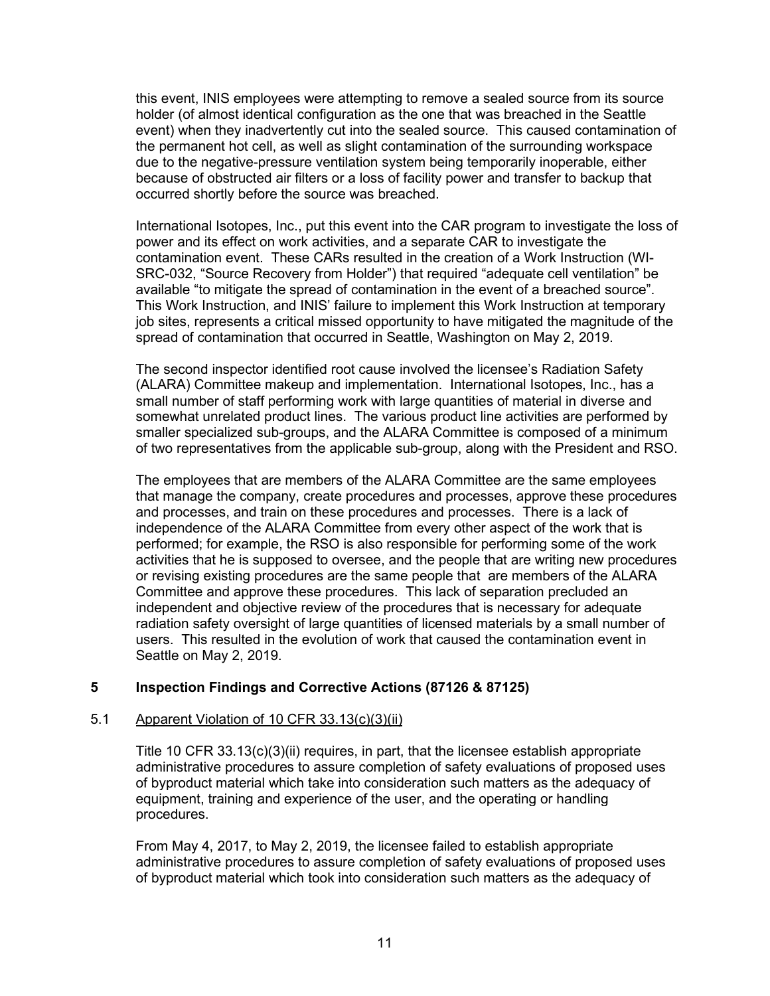this event, INIS employees were attempting to remove a sealed source from its source holder (of almost identical configuration as the one that was breached in the Seattle event) when they inadvertently cut into the sealed source. This caused contamination of the permanent hot cell, as well as slight contamination of the surrounding workspace due to the negative-pressure ventilation system being temporarily inoperable, either because of obstructed air filters or a loss of facility power and transfer to backup that occurred shortly before the source was breached.

International Isotopes, Inc., put this event into the CAR program to investigate the loss of power and its effect on work activities, and a separate CAR to investigate the contamination event. These CARs resulted in the creation of a Work Instruction (WI-SRC-032, "Source Recovery from Holder") that required "adequate cell ventilation" be available "to mitigate the spread of contamination in the event of a breached source". This Work Instruction, and INIS' failure to implement this Work Instruction at temporary job sites, represents a critical missed opportunity to have mitigated the magnitude of the spread of contamination that occurred in Seattle, Washington on May 2, 2019.

The second inspector identified root cause involved the licensee's Radiation Safety (ALARA) Committee makeup and implementation. International Isotopes, Inc., has a small number of staff performing work with large quantities of material in diverse and somewhat unrelated product lines. The various product line activities are performed by smaller specialized sub-groups, and the ALARA Committee is composed of a minimum of two representatives from the applicable sub-group, along with the President and RSO.

The employees that are members of the ALARA Committee are the same employees that manage the company, create procedures and processes, approve these procedures and processes, and train on these procedures and processes. There is a lack of independence of the ALARA Committee from every other aspect of the work that is performed; for example, the RSO is also responsible for performing some of the work activities that he is supposed to oversee, and the people that are writing new procedures or revising existing procedures are the same people that are members of the ALARA Committee and approve these procedures. This lack of separation precluded an independent and objective review of the procedures that is necessary for adequate radiation safety oversight of large quantities of licensed materials by a small number of users. This resulted in the evolution of work that caused the contamination event in Seattle on May 2, 2019.

## **5 Inspection Findings and Corrective Actions (87126 & 87125)**

## 5.1 Apparent Violation of 10 CFR 33.13(c)(3)(ii)

Title 10 CFR 33.13(c)(3)(ii) requires, in part, that the licensee establish appropriate administrative procedures to assure completion of safety evaluations of proposed uses of byproduct material which take into consideration such matters as the adequacy of equipment, training and experience of the user, and the operating or handling procedures.

From May 4, 2017, to May 2, 2019, the licensee failed to establish appropriate administrative procedures to assure completion of safety evaluations of proposed uses of byproduct material which took into consideration such matters as the adequacy of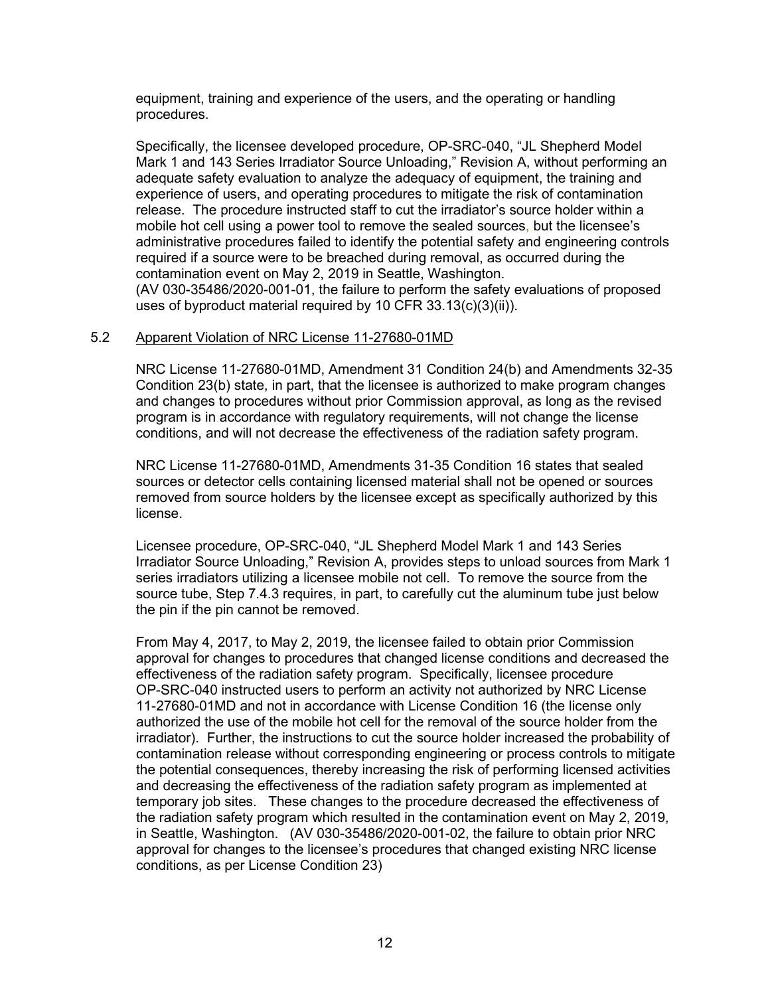equipment, training and experience of the users, and the operating or handling procedures.

Specifically, the licensee developed procedure, OP-SRC-040, "JL Shepherd Model Mark 1 and 143 Series Irradiator Source Unloading," Revision A, without performing an adequate safety evaluation to analyze the adequacy of equipment, the training and experience of users, and operating procedures to mitigate the risk of contamination release. The procedure instructed staff to cut the irradiator's source holder within a mobile hot cell using a power tool to remove the sealed sources, but the licensee's administrative procedures failed to identify the potential safety and engineering controls required if a source were to be breached during removal, as occurred during the contamination event on May 2, 2019 in Seattle, Washington. (AV 030-35486/2020-001-01, the failure to perform the safety evaluations of proposed

# uses of byproduct material required by 10 CFR 33.13(c)(3)(ii)).

## 5.2 Apparent Violation of NRC License 11-27680-01MD

NRC License 11-27680-01MD, Amendment 31 Condition 24(b) and Amendments 32-35 Condition 23(b) state, in part, that the licensee is authorized to make program changes and changes to procedures without prior Commission approval, as long as the revised program is in accordance with regulatory requirements, will not change the license conditions, and will not decrease the effectiveness of the radiation safety program.

NRC License 11-27680-01MD, Amendments 31-35 Condition 16 states that sealed sources or detector cells containing licensed material shall not be opened or sources removed from source holders by the licensee except as specifically authorized by this license.

Licensee procedure, OP-SRC-040, "JL Shepherd Model Mark 1 and 143 Series Irradiator Source Unloading," Revision A, provides steps to unload sources from Mark 1 series irradiators utilizing a licensee mobile not cell. To remove the source from the source tube, Step 7.4.3 requires, in part, to carefully cut the aluminum tube just below the pin if the pin cannot be removed.

From May 4, 2017, to May 2, 2019, the licensee failed to obtain prior Commission approval for changes to procedures that changed license conditions and decreased the effectiveness of the radiation safety program. Specifically, licensee procedure OP-SRC-040 instructed users to perform an activity not authorized by NRC License 11-27680-01MD and not in accordance with License Condition 16 (the license only authorized the use of the mobile hot cell for the removal of the source holder from the irradiator). Further, the instructions to cut the source holder increased the probability of contamination release without corresponding engineering or process controls to mitigate the potential consequences, thereby increasing the risk of performing licensed activities and decreasing the effectiveness of the radiation safety program as implemented at temporary job sites. These changes to the procedure decreased the effectiveness of the radiation safety program which resulted in the contamination event on May 2, 2019, in Seattle, Washington. (AV 030-35486/2020-001-02, the failure to obtain prior NRC approval for changes to the licensee's procedures that changed existing NRC license conditions, as per License Condition 23)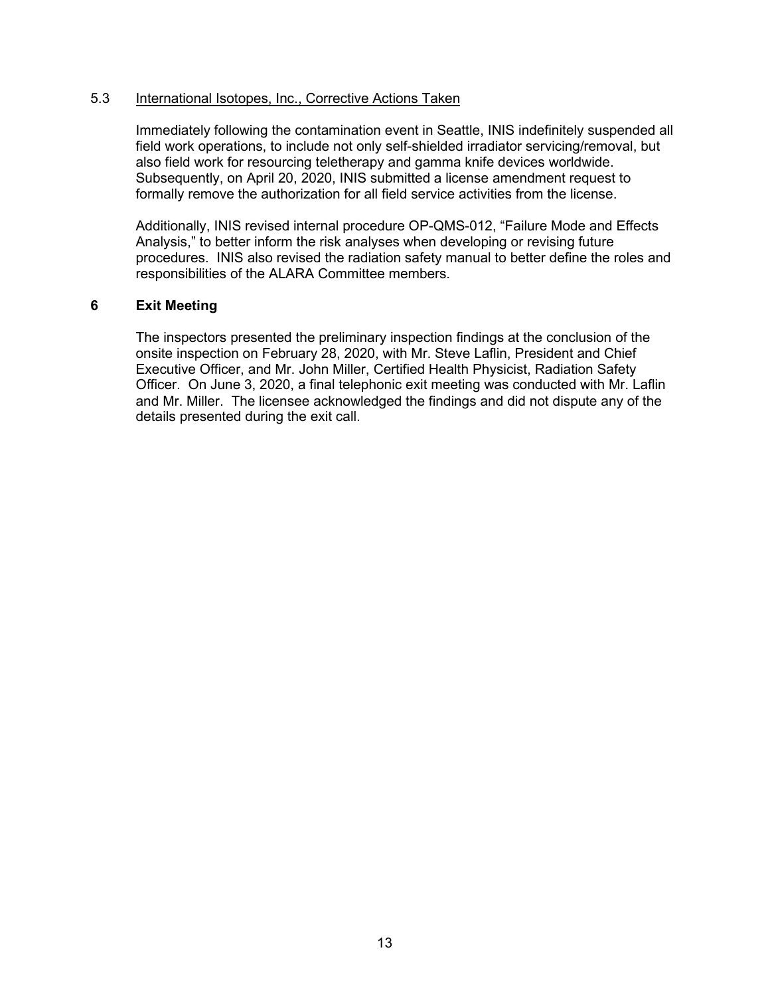## 5.3 International Isotopes, Inc., Corrective Actions Taken

Immediately following the contamination event in Seattle, INIS indefinitely suspended all field work operations, to include not only self-shielded irradiator servicing/removal, but also field work for resourcing teletherapy and gamma knife devices worldwide. Subsequently, on April 20, 2020, INIS submitted a license amendment request to formally remove the authorization for all field service activities from the license.

Additionally, INIS revised internal procedure OP-QMS-012, "Failure Mode and Effects Analysis," to better inform the risk analyses when developing or revising future procedures. INIS also revised the radiation safety manual to better define the roles and responsibilities of the ALARA Committee members.

#### **6 Exit Meeting**

The inspectors presented the preliminary inspection findings at the conclusion of the onsite inspection on February 28, 2020, with Mr. Steve Laflin, President and Chief Executive Officer, and Mr. John Miller, Certified Health Physicist, Radiation Safety Officer. On June 3, 2020, a final telephonic exit meeting was conducted with Mr. Laflin and Mr. Miller. The licensee acknowledged the findings and did not dispute any of the details presented during the exit call.